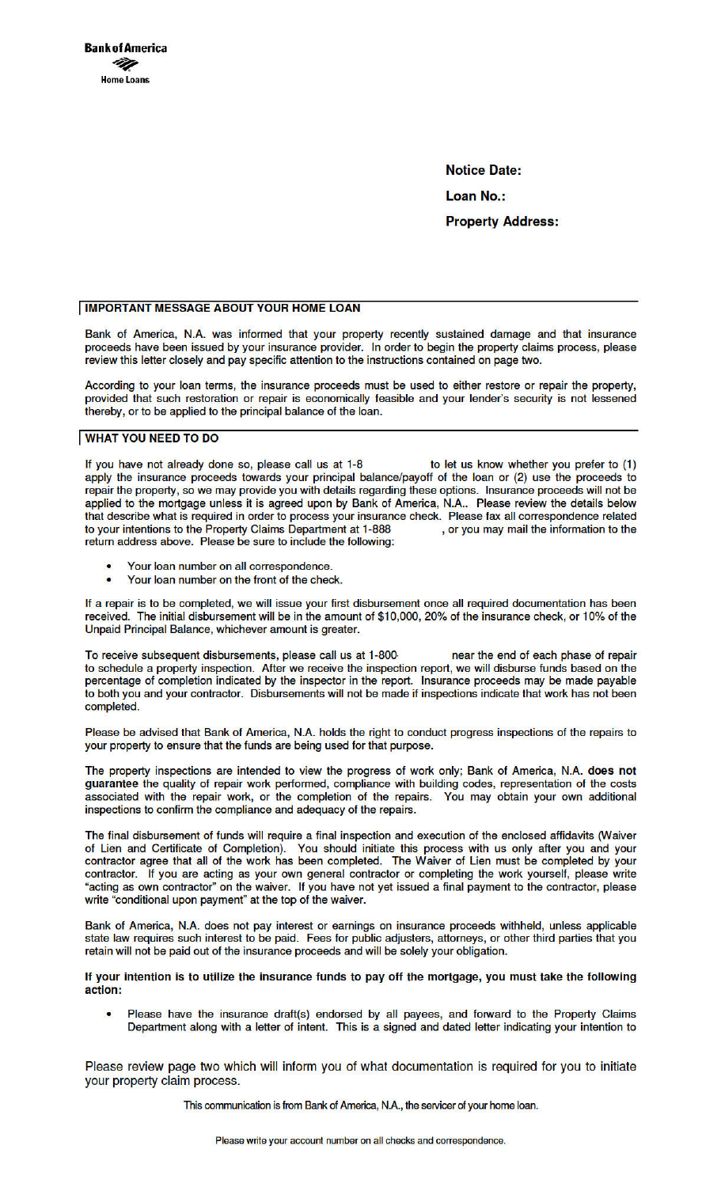**Notice Date:** 

**Loan No.:** 

**Property Address:** 

# **IMPORTANT MESSAGE ABOUT YOUR HOME LOAN**

Bank of America, N.A. was informed that your property recently sustained damage and that insurance proceeds have been issued by your insurance provider. In order to begin the property claims process, please review this letter closely and pay specific attention to the instructions contained on page two.

According to your loan terms, the insurance proceeds must be used to either restore or repair the property, provided that such restoration or repair is economically feasible and your lender's security is not lessened thereby, or to be applied to the principal balance of the loan.

# **WHAT YOU NEED TO DO**

to let us know whether you prefer to (1) If you have not already done so, please call us at 1-8 apply the insurance proceeds towards your principal balance/payoff of the loan or (2) use the proceeds to repair the property, so we may provide you with details regarding these options. Insurance proceeds will not be applied to the mortgage unless it is agreed upon by Bank of America, N.A.. Please review the details below that describe what is required in order to process your insurance check. Please fax all correspondence related to your intentions to the Property Claims Department at 1-888 , or you may mail the information to the return address above. Please be sure to include the following:

- Your loan number on all correspondence.
- $\bullet$ Your loan number on the front of the check.

If a repair is to be completed, we will issue your first disbursement once all required documentation has been received. The initial disbursement will be in the amount of \$10,000, 20% of the insurance check, or 10% of the Unpaid Principal Balance, whichever amount is greater.

To receive subsequent disbursements, please call us at 1-800 near the end of each phase of repair to schedule a property inspection. After we receive the inspection report, we will disburse funds based on the percentage of completion indicated by the inspector in the report. Insurance proceeds may be made payable<br>to both you and your contractor. Disbursements will not be made if inspections indicate that work has not been completed.

Please be advised that Bank of America, N.A. holds the right to conduct progress inspections of the repairs to your property to ensure that the funds are being used for that purpose.

The property inspections are intended to view the progress of work only; Bank of America, N.A. does not guarantee the quality of repair work performed, compliance with building codes, representation of the costs associated with the repair work, or the completion of the repairs. You may obtain your own additional inspections to confirm the compliance and adequacy of the repairs.

The final disbursement of funds will require a final inspection and execution of the enclosed affidavits (Waiver of Lien and Certificate of Completion). You should initiate this process with us only after you and your contractor agree that all of the work has been completed. The Waiver of Lien must be completed by your contractor. If you are acting as your own general contractor or completing the work yourself, please write "acting as own contractor" on the waiver. If you have not yet issued a final payment to the contractor, please write "conditional upon payment" at the top of the waiver.

Bank of America, N.A. does not pay interest or earnings on insurance proceeds withheld, unless applicable state law requires such interest to be paid. Fees for public adjusters, attorneys, or other third parties that you retain will not be paid out of the insurance proceeds and will be solely your obligation.

If your intention is to utilize the insurance funds to pay off the mortgage, you must take the following action:

Please have the insurance draft(s) endorsed by all payees, and forward to the Property Claims Department along with a letter of intent. This is a signed and dated letter indicating your intention to

Please review page two which will inform you of what documentation is required for you to initiate your property claim process.

This communication is from Bank of America, N.A., the servicer of your home loan.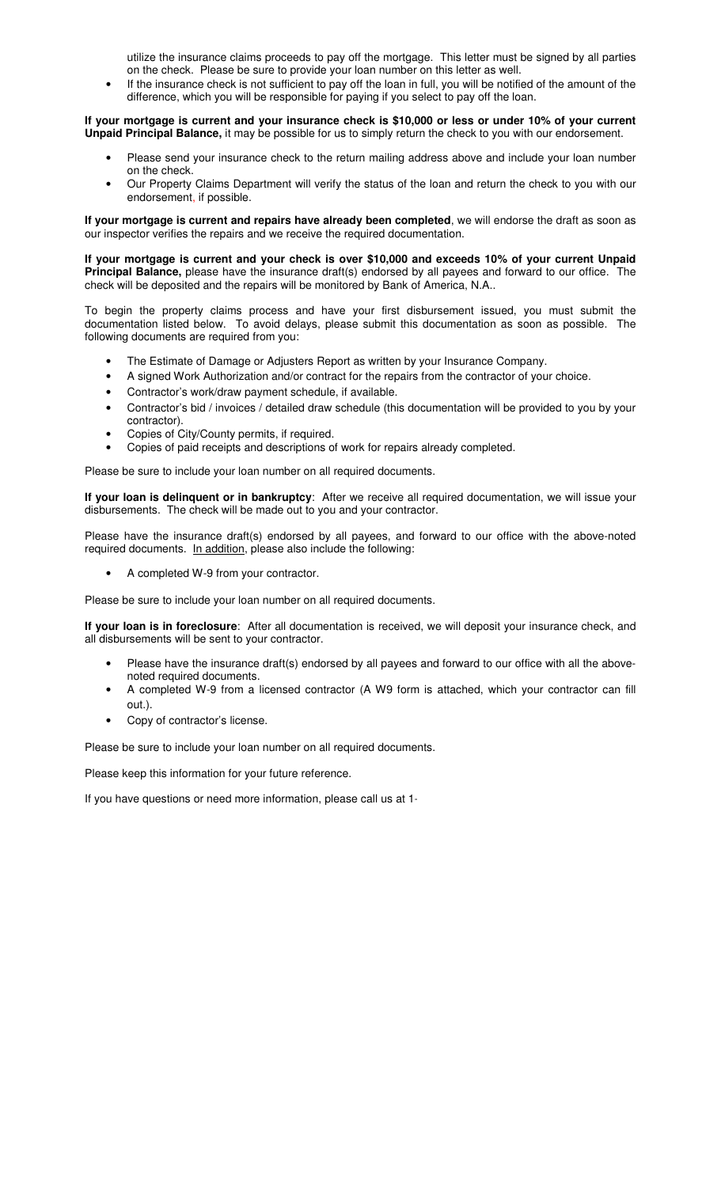utilize the insurance claims proceeds to pay off the mortgage. This letter must be signed by all parties on the check. Please be sure to provide your loan number on this letter as well.

If the insurance check is not sufficient to pay off the loan in full, you will be notified of the amount of the difference, which you will be responsible for paying if you select to pay off the loan.

**If your mortgage is current and your insurance check is \$10,000 or less or under 10% of your current Unpaid Principal Balance,** it may be possible for us to simply return the check to you with our endorsement.

- Please send your insurance check to the return mailing address above and include your loan number on the check.
- Our Property Claims Department will verify the status of the loan and return the check to you with our endorsement, if possible.

**If your mortgage is current and repairs have already been completed**, we will endorse the draft as soon as our inspector verifies the repairs and we receive the required documentation.

**If your mortgage is current and your check is over \$10,000 and exceeds 10% of your current Unpaid Principal Balance,** please have the insurance draft(s) endorsed by all payees and forward to our office. The check will be deposited and the repairs will be monitored by Bank of America, N.A..

To begin the property claims process and have your first disbursement issued, you must submit the documentation listed below. To avoid delays, please submit this documentation as soon as possible. The following documents are required from you:

- The Estimate of Damage or Adjusters Report as written by your Insurance Company.
- A signed Work Authorization and/or contract for the repairs from the contractor of your choice.
- Contractor's work/draw payment schedule, if available.
- Contractor's bid / invoices / detailed draw schedule (this documentation will be provided to you by your contractor).
- Copies of City/County permits, if required.
- Copies of paid receipts and descriptions of work for repairs already completed.

Please be sure to include your loan number on all required documents.

**If your loan is delinquent or in bankruptcy**: After we receive all required documentation, we will issue your disbursements. The check will be made out to you and your contractor.

Please have the insurance draft(s) endorsed by all payees, and forward to our office with the above-noted required documents. In addition, please also include the following:

• A completed W-9 from your contractor.

Please be sure to include your loan number on all required documents.

**If your loan is in foreclosure**: After all documentation is received, we will deposit your insurance check, and all disbursements will be sent to your contractor.

- Please have the insurance draft(s) endorsed by all payees and forward to our office with all the abovenoted required documents.
- A completed W-9 from a licensed contractor (A W9 form is attached, which your contractor can fill out.).
- Copy of contractor's license.

Please be sure to include your loan number on all required documents.

Please keep this information for your future reference.

If you have questions or need more information, please call us at 1-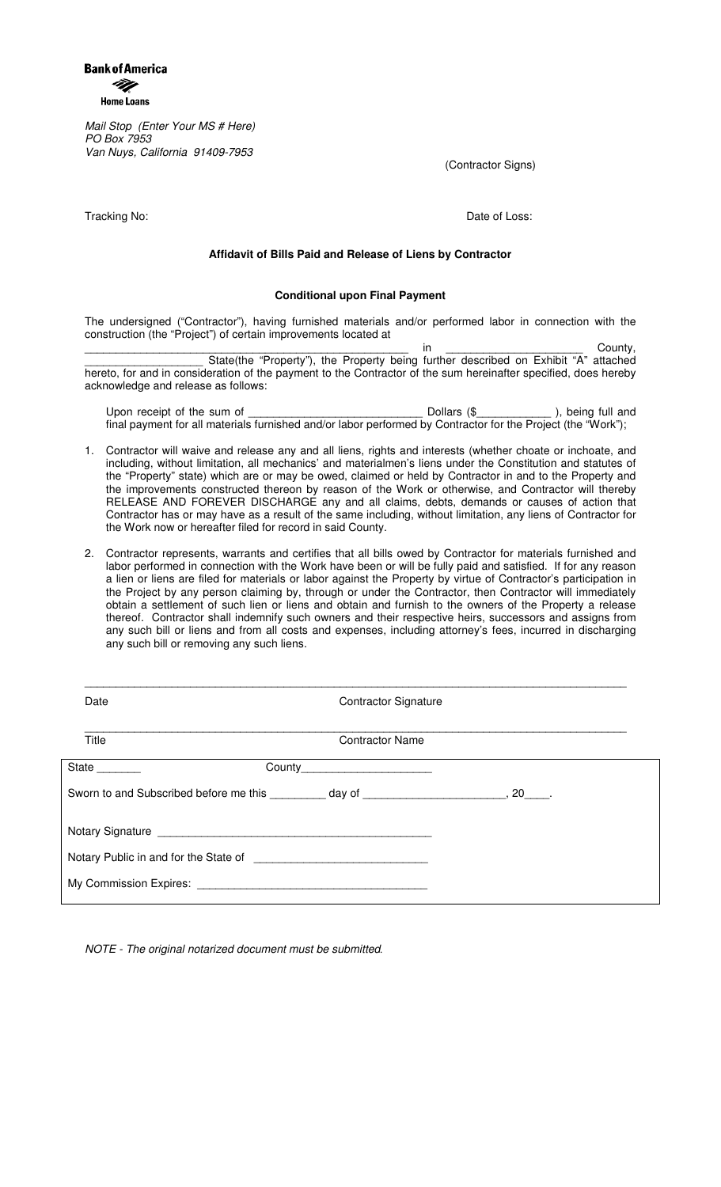**Bank of America** M. **Home Loans** 

Mail Stop (Enter Your MS # Here) PO Box 7953 Van Nuys, California 91409-7953

(Contractor Signs)

Tracking No: **Date of Loss:** Date of Loss:

## **Affidavit of Bills Paid and Release of Liens by Contractor**

### **Conditional upon Final Payment**

The undersigned ("Contractor"), having furnished materials and/or performed labor in connection with the construction (the "Project") of certain improvements located at

\_\_\_\_\_\_\_\_\_\_\_\_\_\_\_\_\_\_\_\_\_\_\_\_\_\_\_\_\_\_\_\_\_\_\_\_\_\_\_\_\_\_\_\_\_\_\_\_\_\_\_\_ in \_\_\_\_\_\_\_\_\_\_\_\_\_\_\_\_\_\_\_\_\_\_ County, \_\_\_\_\_\_\_\_\_\_\_\_\_\_\_\_\_\_\_ State(the "Property"), the Property being further described on Exhibit "A" attached hereto, for and in consideration of the payment to the Contractor of the sum hereinafter specified, does hereby acknowledge and release as follows:

| Upon receipt of the sum of                                                                                   | Dollars (\$ | ), being full and |
|--------------------------------------------------------------------------------------------------------------|-------------|-------------------|
| final payment for all materials furnished and/or labor performed by Contractor for the Project (the "Work"); |             |                   |

- 1. Contractor will waive and release any and all liens, rights and interests (whether choate or inchoate, and including, without limitation, all mechanics' and materialmen's liens under the Constitution and statutes of the "Property" state) which are or may be owed, claimed or held by Contractor in and to the Property and the improvements constructed thereon by reason of the Work or otherwise, and Contractor will thereby RELEASE AND FOREVER DISCHARGE any and all claims, debts, demands or causes of action that Contractor has or may have as a result of the same including, without limitation, any liens of Contractor for the Work now or hereafter filed for record in said County.
- 2. Contractor represents, warrants and certifies that all bills owed by Contractor for materials furnished and labor performed in connection with the Work have been or will be fully paid and satisfied. If for any reason a lien or liens are filed for materials or labor against the Property by virtue of Contractor's participation in the Project by any person claiming by, through or under the Contractor, then Contractor will immediately obtain a settlement of such lien or liens and obtain and furnish to the owners of the Property a release thereof. Contractor shall indemnify such owners and their respective heirs, successors and assigns from any such bill or liens and from all costs and expenses, including attorney's fees, incurred in discharging any such bill or removing any such liens.

| Date          |                                                                                             | <b>Contractor Signature</b> |  |
|---------------|---------------------------------------------------------------------------------------------|-----------------------------|--|
| Title         | <b>Contractor Name</b>                                                                      |                             |  |
| State _______ | County__________________________                                                            |                             |  |
|               | Sworn to and Subscribed before me this _________ day of _________________________, 20_____. |                             |  |
|               |                                                                                             |                             |  |
|               |                                                                                             |                             |  |
|               |                                                                                             |                             |  |
|               |                                                                                             |                             |  |

NOTE - The original notarized document must be submitted*.*